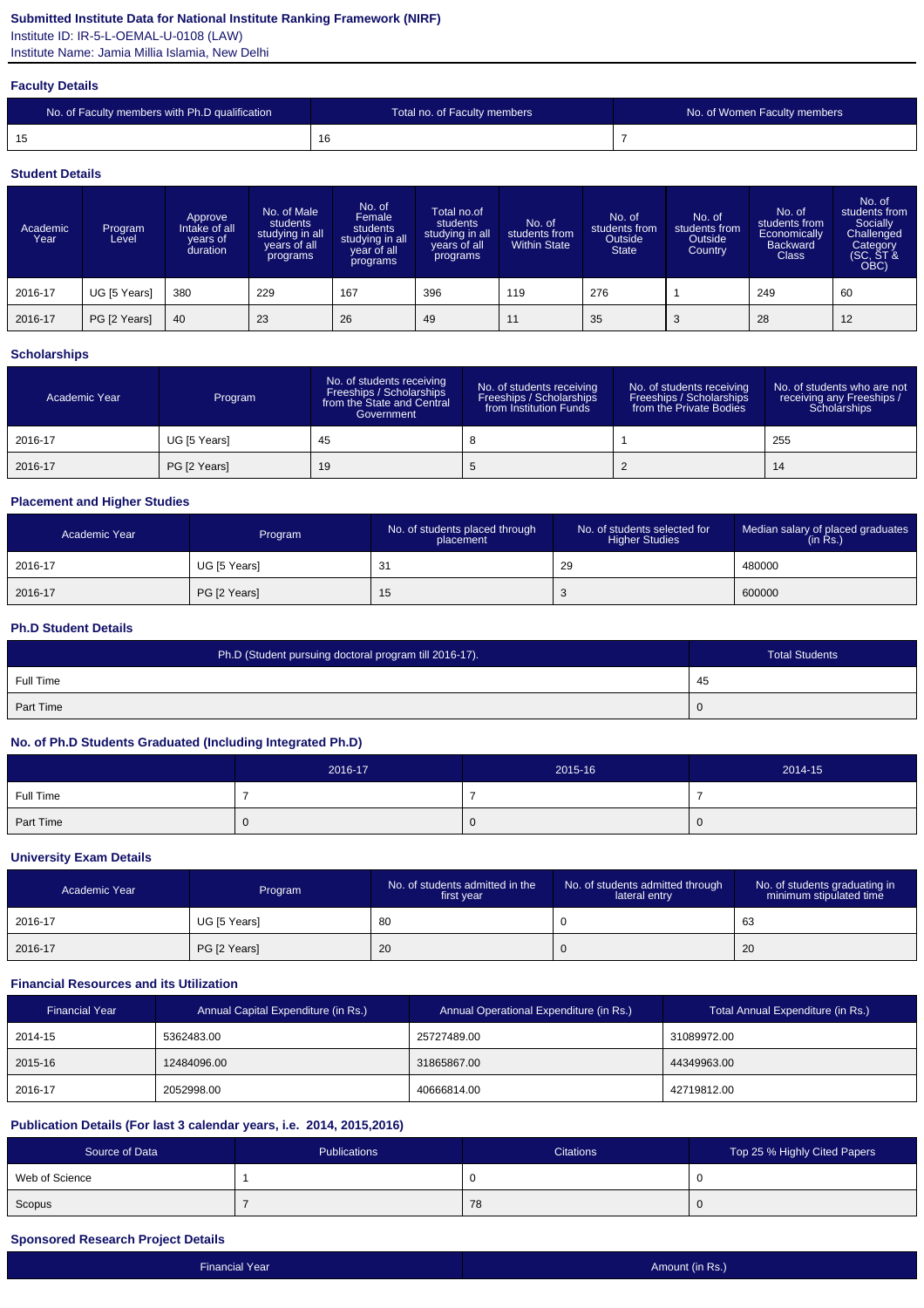### **Submitted Institute Data for National Institute Ranking Framework (NIRF)**

Institute ID: IR-5-L-OEMAL-U-0108 (LAW)

Institute Name: Jamia Millia Islamia, New Delhi

#### **Faculty Details**

| No. of Faculty members with Ph.D qualification | Total no. of Faculty members | No. of Women Faculty members |
|------------------------------------------------|------------------------------|------------------------------|
| 15                                             |                              |                              |

#### **Student Details**

| Academic<br>Year | Program<br>Level | Approve<br>Intake of all<br>vears of<br>duration | No. of Male<br>students<br>studying in all<br>years of all<br>programs | No. of<br>Female<br>students<br>studying in all<br>year of all<br>programs | Total no.of<br>students<br>studying in all<br>years of all<br>programs | No. of<br>students from<br><b>Within State</b> | No. of<br>students from<br>Outside<br><b>State</b> | No. of<br>students from<br>Outside<br>Country | No. of<br>students from<br><b>Economically</b><br><b>Backward</b><br><b>Class</b> | No. of<br>students from<br>Socially<br>Challenged<br>Category<br>(SC, ST &<br>OBC) |
|------------------|------------------|--------------------------------------------------|------------------------------------------------------------------------|----------------------------------------------------------------------------|------------------------------------------------------------------------|------------------------------------------------|----------------------------------------------------|-----------------------------------------------|-----------------------------------------------------------------------------------|------------------------------------------------------------------------------------|
| 2016-17          | UG [5 Years]     | 380                                              | 229                                                                    | 167                                                                        | 396                                                                    | 119                                            | 276                                                |                                               | 249                                                                               | 60                                                                                 |
| 2016-17          | PG [2 Years]     | 40                                               | 23                                                                     | 26                                                                         | 49                                                                     | 11                                             | 35                                                 | 3                                             | 28                                                                                | 12                                                                                 |

#### **Scholarships**

| Academic Year | Program      | No. of students receiving<br>Freeships / Scholarships<br>from the State and Central<br>Government | No. of students receiving<br>Freeships / Scholarships<br>from Institution Funds | No. of students receiving<br>Freeships / Scholarships<br>from the Private Bodies | No. of students who are not<br>receiving any Freeships /<br>Scholarships |
|---------------|--------------|---------------------------------------------------------------------------------------------------|---------------------------------------------------------------------------------|----------------------------------------------------------------------------------|--------------------------------------------------------------------------|
| 2016-17       | UG [5 Years] | 45                                                                                                |                                                                                 |                                                                                  | 255                                                                      |
| 2016-17       | PG [2 Years] | 19                                                                                                |                                                                                 |                                                                                  | 14                                                                       |

## **Placement and Higher Studies**

| Academic Year | Program      | No. of students placed through<br>placement | No. of students selected for<br><b>Higher Studies</b> | Median salary of placed graduates<br>(in Rs.) |
|---------------|--------------|---------------------------------------------|-------------------------------------------------------|-----------------------------------------------|
| 2016-17       | UG [5 Years] | 3                                           | 29                                                    | 480000                                        |
| 2016-17       | PG [2 Years] | 15                                          | 3                                                     | 600000                                        |

### **Ph.D Student Details**

| Ph.D (Student pursuing doctoral program till 2016-17). | <b>Total Students</b> |
|--------------------------------------------------------|-----------------------|
| Full Time                                              | -45                   |
| Part Time                                              | 0                     |

### **No. of Ph.D Students Graduated (Including Integrated Ph.D)**

|           | 2016-17 | 2015-16 | 2014-15 |
|-----------|---------|---------|---------|
| Full Time |         |         |         |
| Part Time |         |         | U       |

#### **University Exam Details**

| Academic Year | Program      | No. of students admitted in the<br>first year | No. of students admitted through<br>lateral entry | No. of students graduating in<br>minimum stipulated time |
|---------------|--------------|-----------------------------------------------|---------------------------------------------------|----------------------------------------------------------|
| 2016-17       | UG [5 Years] | -80                                           |                                                   | 63                                                       |
| 2016-17       | PG [2 Years] | -20                                           |                                                   | 20                                                       |

### **Financial Resources and its Utilization**

| <b>Financial Year</b> | Annual Capital Expenditure (in Rs.) | Annual Operational Expenditure (in Rs.) | Total Annual Expenditure (in Rs.) |
|-----------------------|-------------------------------------|-----------------------------------------|-----------------------------------|
| 2014-15               | 5362483.00                          | 25727489.00                             | 31089972.00                       |
| 2015-16               | 12484096.00                         | 31865867.00                             | 44349963.00                       |
| 2016-17               | 2052998.00                          | 40666814.00                             | 42719812.00                       |

### **Publication Details (For last 3 calendar years, i.e. 2014, 2015,2016)**

| Source of Data | <b>Publications</b> | <b>Citations</b> | Top 25 % Highly Cited Papers |
|----------------|---------------------|------------------|------------------------------|
| Web of Science |                     |                  |                              |
| Scopus         |                     | 78               |                              |

### **Sponsored Research Project Details**

| <b>Financial Year</b> | Amount (in Rs.) |
|-----------------------|-----------------|
|                       |                 |